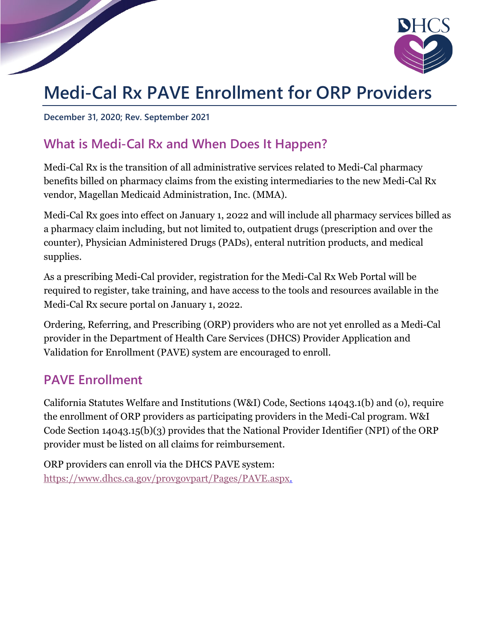

# **Medi-Cal Rx PAVE Enrollment for ORP Providers**

**December 31, 2020; Rev. September 2021**

# **What is Medi-Cal Rx and When Does It Happen?**

Medi-Cal Rx is the transition of all administrative services related to Medi-Cal pharmacy benefits billed on pharmacy claims from the existing intermediaries to the new Medi-Cal Rx vendor, Magellan Medicaid Administration, Inc. (MMA).

Medi-Cal Rx goes into effect on January 1, 2022 and will include all pharmacy services billed as a pharmacy claim including, but not limited to, outpatient drugs (prescription and over the counter), Physician Administered Drugs (PADs), enteral nutrition products, and medical supplies.

As a prescribing Medi-Cal provider, registration for the Medi-Cal Rx Web Portal will be required to register, take training, and have access to the tools and resources available in the Medi-Cal Rx secure portal on January 1, 2022.

Ordering, Referring, and Prescribing (ORP) providers who are not yet enrolled as a Medi-Cal provider in the Department of Health Care Services (DHCS) Provider Application and Validation for Enrollment (PAVE) system are encouraged to enroll.

### **PAVE Enrollment**

California Statutes Welfare and Institutions (W&I) Code, Sections 14043.1(b) and (o), require the enrollment of ORP providers as participating providers in the Medi-Cal program. W&I Code Section 14043.15(b)(3) provides that the National Provider Identifier (NPI) of the ORP provider must be listed on all claims for reimbursement.

ORP providers can enroll via the DHCS PAVE system: [https://www.dhcs.ca.gov/provgovpart/Pages/PAVE.aspx.](https://www.dhcs.ca.gov/provgovpart/Pages/PAVE.aspx)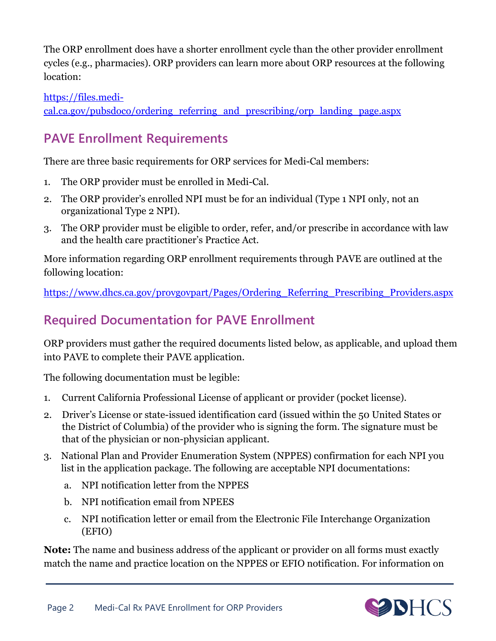The ORP enrollment does have a shorter enrollment cycle than the other provider enrollment cycles (e.g., pharmacies). ORP providers can learn more about ORP resources at the following location:

#### [https://files.medi-](https://files.medi-cal.ca.gov/pubsdoco/ordering_referring_and_prescribing/orp_landing_page.aspx)

[cal.ca.gov/pubsdoco/ordering\\_referring\\_and\\_prescribing/orp\\_landing\\_page.aspx](https://files.medi-cal.ca.gov/pubsdoco/ordering_referring_and_prescribing/orp_landing_page.aspx)

# **PAVE Enrollment Requirements**

There are three basic requirements for ORP services for Medi-Cal members:

- 1. The ORP provider must be enrolled in Medi-Cal.
- 2. The ORP provider's enrolled NPI must be for an individual (Type 1 NPI only, not an organizational Type 2 NPI).
- 3. The ORP provider must be eligible to order, refer, and/or prescribe in accordance with law and the health care practitioner's Practice Act.

More information regarding ORP enrollment requirements through PAVE are outlined at the following location:

[https://www.dhcs.ca.gov/provgovpart/Pages/Ordering\\_Referring\\_Prescribing\\_Providers.aspx](https://www.dhcs.ca.gov/provgovpart/Pages/Ordering_Referring_Prescribing_Providers.aspx)

# **Required Documentation for PAVE Enrollment**

ORP providers must gather the required documents listed below, as applicable, and upload them into PAVE to complete their PAVE application.

The following documentation must be legible:

- 1. Current California Professional License of applicant or provider (pocket license).
- 2. Driver's License or state-issued identification card (issued within the 50 United States or the District of Columbia) of the provider who is signing the form. The signature must be that of the physician or non-physician applicant.
- 3. National Plan and Provider Enumeration System (NPPES) confirmation for each NPI you list in the application package. The following are acceptable NPI documentations:
	- a. NPI notification letter from the NPPES
	- b. NPI notification email from NPEES
	- c. NPI notification letter or email from the Electronic File Interchange Organization (EFIO)

**Note:** The name and business address of the applicant or provider on all forms must exactly match the name and practice location on the NPPES or EFIO notification. For information on